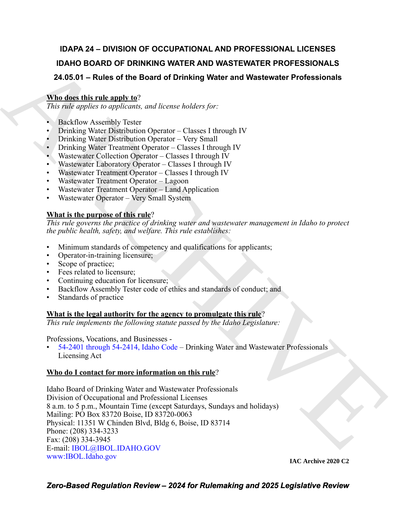### **IDAPA 24 – DIVISION OF OCCUPATIONAL AND PROFESSIONAL LICENSES IDAHO BOARD OF DRINKING WATER AND WASTEWATER PROFESSIONALS 24.05.01 – Rules of the Board of Drinking Water and Wastewater Professionals**

### **Who does this rule apply to**?

*This rule applies to applicants, and license holders for:*

- Backflow Assembly Tester
- Drinking Water Distribution Operator Classes I through IV
- Drinking Water Distribution Operator Very Small
- Drinking Water Treatment Operator Classes I through IV
- Wastewater Collection Operator Classes I through IV
- Wastewater Laboratory Operator Classes I through IV
- Wastewater Treatment Operator Classes I through IV
- Wastewater Treatment Operator Lagoon
- Wastewater Treatment Operator Land Application
- Wastewater Operator Very Small System

### **What is the purpose of this rule**?

*This rule governs the practice of drinking water and wastewater management in Idaho to protect the public health, safety, and welfare. This rule establishes:*

- Minimum standards of competency and qualifications for applicants;
- Operator-in-training licensure;
- Scope of practice;
- Fees related to licensure;
- Continuing education for licensure;
- Backflow Assembly Tester code of ethics and standards of conduct; and
- Standards of practice

#### **What is the legal authority for the agency to promulgate this rule**?

*This rule implements the following statute passed by the Idaho Legislature:*

Professions, Vocations, and Businesses -

• 54-2401 through 54-2414, Idaho Code – Drinking Water and Wastewater Professionals Licensing Act

#### **Who do I contact for more information on this rule**?

IDAHO BOARD OF DRINKING WAT[E](mailto: IBOL@IBOL.IDAHO.GOV)E AND WASTEWATER PROFESSIONALS<br>
24.05.01 – Rluets of the Board of Drinking Water and Wastewater Professionals<br>
AYMILIBERT IN the sample is easy of *Recense Tolers holders for*:<br>
16. Bockhove Ap Idaho Board of Drinking Water and Wastewater Professionals Division of Occupational and Professional Licenses 8 a.m. to 5 p.m., Mountain Time (except Saturdays, Sundays and holidays) Mailing: PO Box 83720 Boise, ID 83720-0063 Physical: 11351 W Chinden Blvd, Bldg 6, Boise, ID 83714 Phone: (208) 334-3233 Fax: (208) 334-3945 E-mail: IBOL@IBOL.IDAHO.GOV [www:IBOL.Idaho.gov](http://www.ibol.idaho.gov/)

**IAC Archive 2020 C2**

*Zero-Based Regulation Review – 2024 for Rulemaking and 2025 Legislative Review*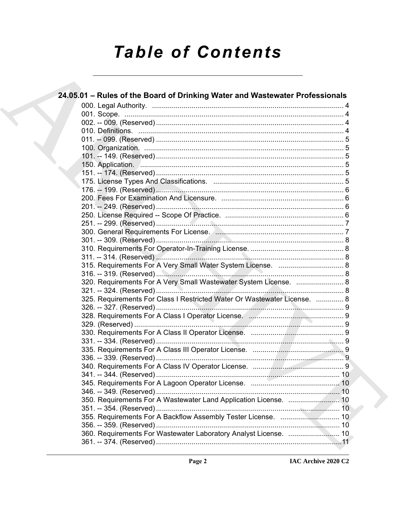# **Table of Contents**

| 24.05.01 – Rules of the Board of Drinking Water and Wastewater Professionals |  |
|------------------------------------------------------------------------------|--|
|                                                                              |  |
|                                                                              |  |
|                                                                              |  |
|                                                                              |  |
|                                                                              |  |
|                                                                              |  |
|                                                                              |  |
|                                                                              |  |
|                                                                              |  |
|                                                                              |  |
|                                                                              |  |
|                                                                              |  |
|                                                                              |  |
|                                                                              |  |
|                                                                              |  |
|                                                                              |  |
|                                                                              |  |
|                                                                              |  |
|                                                                              |  |
|                                                                              |  |
|                                                                              |  |
| 320. Requirements For A Very Small Wastewater System License.  8             |  |
|                                                                              |  |
| 325. Requirements For Class I Restricted Water Or Wastewater License.  8     |  |
|                                                                              |  |
|                                                                              |  |
|                                                                              |  |
|                                                                              |  |
|                                                                              |  |
|                                                                              |  |
|                                                                              |  |
|                                                                              |  |
|                                                                              |  |
|                                                                              |  |
|                                                                              |  |
|                                                                              |  |
|                                                                              |  |
|                                                                              |  |
| 360. Requirements For Wastewater Laboratory Analyst License.  10             |  |
|                                                                              |  |
|                                                                              |  |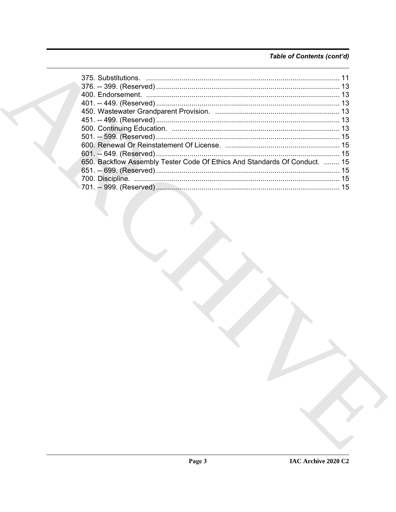### Table of Contents (cont'd)

| 650. Backflow Assembly Tester Code Of Ethics And Standards Of Conduct.  15 |  |
|----------------------------------------------------------------------------|--|
|                                                                            |  |
|                                                                            |  |
|                                                                            |  |
|                                                                            |  |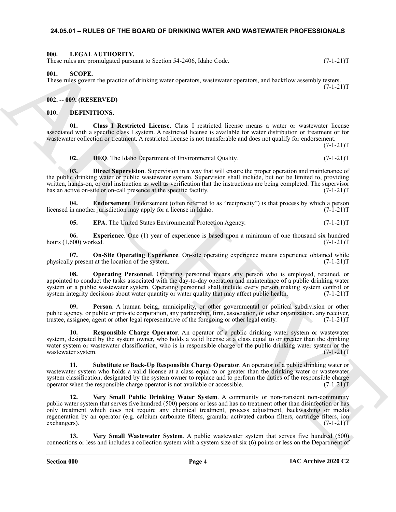#### <span id="page-3-0"></span>**24.05.01 – RULES OF THE BOARD OF DRINKING WATER AND WASTEWATER PROFESSIONALS**

#### <span id="page-3-19"></span><span id="page-3-1"></span>**000. LEGAL AUTHORITY.**

These rules are promulgated pursuant to Section 54-2406, Idaho Code. (7-1-21)T

<span id="page-3-20"></span><span id="page-3-2"></span>**001. SCOPE.**

These rules govern the practice of drinking water operators, wastewater operators, and backflow assembly testers.  $(7-1-21)T$ 

<span id="page-3-3"></span>**002. -- 009. (RESERVED)**

#### <span id="page-3-5"></span><span id="page-3-4"></span>**010. DEFINITIONS.**

**01. Class I Restricted License**. Class I restricted license means a water or wastewater license associated with a specific class I system. A restricted license is available for water distribution or treatment or for wastewater collection or treatment. A restricted license is not transferable and does not qualify for endorsement.

 $(7-1-21)T$ 

#### <span id="page-3-8"></span><span id="page-3-7"></span><span id="page-3-6"></span>**02. DEQ**. The Idaho Department of Environmental Quality.  $(7-1-21)T$

**03. Direct Supervision**. Supervision in a way that will ensure the proper operation and maintenance of the public drinking water or public wastewater system. Supervision shall include, but not be limited to, providing written, hands-on, or oral instruction as well as verification that the instructions are being completed. The supervisor has an active on-site or on-call presence at the specific facility. (7-1-21)T

**04. Endorsement**. Endorsement (often referred to as "reciprocity") is that process by which a person in another jurisdiction may apply for a license in Idaho. (7-1-21) licensed in another jurisdiction may apply for a license in Idaho.

<span id="page-3-12"></span><span id="page-3-11"></span><span id="page-3-10"></span><span id="page-3-9"></span>**05. EPA**. The United States Environmental Protection Agency. (7-1-21)T

**06. Experience**. One (1) year of experience is based upon a minimum of one thousand six hundred 600) worked. (7-1-21) hours  $(1,600)$  worked.

**07. On-Site Operating Experience**. On-site operating experience means experience obtained while physically present at the location of the system. (7-1-21)T

<span id="page-3-13"></span>**08. Operating Personnel**. Operating personnel means any person who is employed, retained, or appointed to conduct the tasks associated with the day-to-day operation and maintenance of a public drinking water system or a public wastewater system. Operating personnel shall include every person making system control or system integrity decisions about water quantity or water quality that may affect public health. (7-1-21)T

<span id="page-3-14"></span>Person. A human being, municipality, or other governmental or political subdivision or other public agency, or public or private corporation, any partnership, firm, association, or other organization, any receiver, trustee, assignee, agent or other legal representative of the foregoing or other legal entity. (7-1-21)T

<span id="page-3-15"></span>**10. Responsible Charge Operator**. An operator of a public drinking water system or wastewater system, designated by the system owner, who holds a valid license at a class equal to or greater than the drinking water system or wastewater classification, who is in responsible charge of the public drinking water system or the wastewater system.  $(7-1-21)$ T

<span id="page-3-17"></span><span id="page-3-16"></span>**11. Substitute or Back-Up Responsible Charge Operator**. An operator of a public drinking water or wastewater system who holds a valid license at a class equal to or greater than the drinking water or wastewater system classification, designated by the system owner to replace and to perform the duties of the responsible charge operator when the responsible charge operator is not available or accessible. (7-1-21) operator when the responsible charge operator is not available or accessible.

Here shows promote or the state of the state of the state of the state of the state of the state of the state of the state of the state of the state of the state of the state of the state of the state of the state of the **12. Very Small Public Drinking Water System**. A community or non-transient non-community public water system that serves five hundred (500) persons or less and has no treatment other than disinfection or has only treatment which does not require any chemical treatment, process adjustment, backwashing or media regeneration by an operator (e.g. calcium carbonate filters, granular activated carbon filters, cartridge filters, ion exchangers).  $(7-1-21)$ exchangers).

<span id="page-3-18"></span>**13. Very Small Wastewater System**. A public wastewater system that serves five hundred (500) connections or less and includes a collection system with a system size of six (6) points or less on the Department of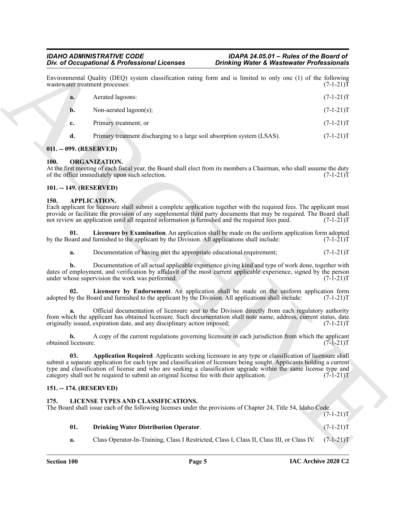## *IDAHO ADMINISTRATIVE CODE IDAPA 24.05.01 – Rules of the Board of*

|      |                           | Div. of Occupational & Professional Licenses                                                                             | <b>Drinking Water &amp; Wastewater Professionals</b>                                                                                                                                                                                                                                                                                              |             |
|------|---------------------------|--------------------------------------------------------------------------------------------------------------------------|---------------------------------------------------------------------------------------------------------------------------------------------------------------------------------------------------------------------------------------------------------------------------------------------------------------------------------------------------|-------------|
|      |                           | wastewater treatment processes:                                                                                          | Environmental Quality (DEQ) system classification rating form and is limited to only one (1) of the following                                                                                                                                                                                                                                     | $(7-1-21)T$ |
|      | a.                        | Aerated lagoons:                                                                                                         |                                                                                                                                                                                                                                                                                                                                                   | $(7-1-21)T$ |
|      | b.                        | Non-aerated lagoon(s);                                                                                                   |                                                                                                                                                                                                                                                                                                                                                   | $(7-1-21)T$ |
|      | c.                        | Primary treatment; or                                                                                                    |                                                                                                                                                                                                                                                                                                                                                   | $(7-1-21)T$ |
|      | d.                        | Primary treatment discharging to a large soil absorption system (LSAS).                                                  |                                                                                                                                                                                                                                                                                                                                                   | $(7-1-21)T$ |
|      |                           | 011. -- 099. (RESERVED)                                                                                                  |                                                                                                                                                                                                                                                                                                                                                   |             |
| 100. |                           | ORGANIZATION.<br>of the office immediately upon such selection.                                                          | At the first meeting of each fiscal year, the Board shall elect from its members a Chairman, who shall assume the duty                                                                                                                                                                                                                            | $(7-1-21)T$ |
|      |                           | 101. -- 149. (RESERVED)                                                                                                  |                                                                                                                                                                                                                                                                                                                                                   |             |
| 150. |                           | <b>APPLICATION.</b><br>not review an application until all required information is furnished and the required fees paid. | Each applicant for licensure shall submit a complete application together with the required fees. The applicant must<br>provide or facilitate the provision of any supplemental third party documents that may be required. The Board shall                                                                                                       | $(7-1-21)T$ |
|      | 01.                       | by the Board and furnished to the applicant by the Division. All applications shall include:                             | Licensure by Examination. An application shall be made on the uniform application form adopted                                                                                                                                                                                                                                                    | $(7-1-21)T$ |
|      | a.                        | Documentation of having met the appropriate educational requirement;                                                     |                                                                                                                                                                                                                                                                                                                                                   | $(7-1-21)T$ |
|      | b.                        | under whose supervision the work was performed.                                                                          | Documentation of all actual applicable experience giving kind and type of work done, together with<br>dates of employment, and verification by affidavit of the most current applicable experience, signed by the person                                                                                                                          | $(7-1-21)T$ |
|      | 02.                       | adopted by the Board and furnished to the applicant by the Division. All applications shall include:                     | Licensure by Endorsement. An application shall be made on the uniform application form                                                                                                                                                                                                                                                            | $(7-1-21)T$ |
|      |                           | originally issued, expiration date, and any disciplinary action imposed;                                                 | Official documentation of licensure sent to the Division directly from each regulatory authority<br>from which the applicant has obtained licensure. Such documentation shall note name, address, current status, date                                                                                                                            | $(7-1-21)T$ |
|      | b.<br>obtained licensure. |                                                                                                                          | A copy of the current regulations governing licensure in each jurisdiction from which the applicant                                                                                                                                                                                                                                               | $(7-1-21)T$ |
|      | 03.                       | category shall not be required to submit an original license fee with their application.                                 | Application Required. Applicants seeking licensure in any type or classification of licensure shall<br>submit a separate application for each type and classification of licensure being sought. Applicants holding a current<br>type and classification of license and who are seeking a classification upgrade within the same license type and | $(7-1-21)T$ |
|      |                           | 151. -- 174. (RESERVED)                                                                                                  |                                                                                                                                                                                                                                                                                                                                                   |             |
| 175. |                           | LICENSE TYPES AND CLASSIFICATIONS.                                                                                       | The Board shall issue each of the following licenses under the provisions of Chapter 24, Title 54, Idaho Code.                                                                                                                                                                                                                                    | $(7-1-21)T$ |
|      | 01.                       | <b>Drinking Water Distribution Operator.</b>                                                                             |                                                                                                                                                                                                                                                                                                                                                   | $(7-1-21)T$ |
|      |                           |                                                                                                                          |                                                                                                                                                                                                                                                                                                                                                   |             |

#### <span id="page-4-0"></span>**011. -- 099. (RESERVED)**

#### <span id="page-4-12"></span><span id="page-4-1"></span>**100. ORGANIZATION.**

#### <span id="page-4-2"></span>**101. -- 149. (RESERVED)**

#### <span id="page-4-9"></span><span id="page-4-8"></span><span id="page-4-6"></span><span id="page-4-3"></span>**150. APPLICATION.**

#### <span id="page-4-7"></span><span id="page-4-4"></span>**151. -- 174. (RESERVED)**

#### <span id="page-4-10"></span><span id="page-4-5"></span>**175. LICENSE TYPES AND CLASSIFICATIONS.**

#### <span id="page-4-11"></span>**01. Drinking Water Distribution Operator**. (7-1-21)T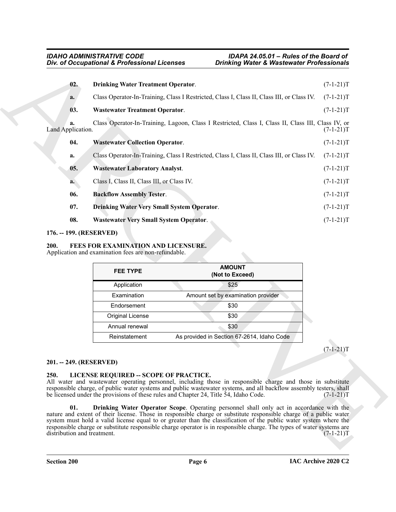<span id="page-5-12"></span><span id="page-5-8"></span>

|                         |                                                      | Div. of Occupational & Professional Licenses                                                       | <b>Drinking Water &amp; Wastewater Professionals</b> |  |
|-------------------------|------------------------------------------------------|----------------------------------------------------------------------------------------------------|------------------------------------------------------|--|
| 02.                     | <b>Drinking Water Treatment Operator.</b>            |                                                                                                    | $(7-1-21)T$                                          |  |
| a.                      |                                                      | Class Operator-In-Training, Class I Restricted, Class I, Class II, Class III, or Class IV.         | $(7-1-21)T$                                          |  |
| 03.                     | <b>Wastewater Treatment Operator.</b>                |                                                                                                    | $(7-1-21)T$                                          |  |
| a.<br>Land Application. |                                                      | Class Operator-In-Training, Lagoon, Class I Restricted, Class I, Class II, Class III, Class IV, or | $(7-1-21)T$                                          |  |
| 04.                     | <b>Wastewater Collection Operator.</b>               |                                                                                                    | $(7-1-21)T$                                          |  |
| a.                      |                                                      | Class Operator-In-Training, Class I Restricted, Class I, Class II, Class III, or Class IV.         | $(7-1-21)T$                                          |  |
| 05.                     | <b>Wastewater Laboratory Analyst.</b>                |                                                                                                    | $(7-1-21)T$                                          |  |
| a.                      | Class I, Class II, Class III, or Class IV.           |                                                                                                    | $(7-1-21)T$                                          |  |
| 06.                     | <b>Backflow Assembly Tester.</b>                     |                                                                                                    | $(7-1-21)T$                                          |  |
| 07.                     | <b>Drinking Water Very Small System Operator.</b>    |                                                                                                    | $(7-1-21)T$                                          |  |
| 08.                     | <b>Wastewater Very Small System Operator.</b>        |                                                                                                    | $(7-1-21)T$                                          |  |
|                         | Application and examination fees are non-refundable. |                                                                                                    |                                                      |  |
|                         |                                                      | <b>AMOUNT</b>                                                                                      |                                                      |  |
|                         | <b>FEE TYPE</b>                                      | (Not to Exceed)                                                                                    |                                                      |  |
|                         | Application                                          | \$25                                                                                               |                                                      |  |
|                         | Examination<br>Endorsement                           | Amount set by examination provider<br>\$30                                                         |                                                      |  |
|                         | <b>Original License</b>                              | \$30                                                                                               |                                                      |  |
|                         | Annual renewal                                       | \$30                                                                                               |                                                      |  |
|                         | Reinstatement                                        | As provided in Section 67-2614, Idaho Code                                                         |                                                      |  |
|                         |                                                      |                                                                                                    | $(7-1-21)T$                                          |  |
| 201. -- 249. (RESERVED) | LICENSE REQUIRED - SCOPE OF PRACTICE.                |                                                                                                    |                                                      |  |

#### <span id="page-5-13"></span><span id="page-5-11"></span><span id="page-5-10"></span><span id="page-5-9"></span><span id="page-5-7"></span><span id="page-5-0"></span>**176. -- 199. (RESERVED)**

#### <span id="page-5-4"></span><span id="page-5-1"></span>**200. FEES FOR EXAMINATION AND LICENSURE.**

| <b>FEE TYPE</b>  | <b>AMOUNT</b><br>(Not to Exceed)           |
|------------------|--------------------------------------------|
| Application      | \$25                                       |
| Examination      | Amount set by examination provider         |
| Endorsement      | \$30                                       |
| Original License | \$30                                       |
| Annual renewal   | \$30                                       |
| Reinstatement    | As provided in Section 67-2614, Idaho Code |

#### <span id="page-5-2"></span>**201. -- 249. (RESERVED)**

#### <span id="page-5-6"></span><span id="page-5-5"></span><span id="page-5-3"></span>**250. LICENSE REQUIRED -- SCOPE OF PRACTICE.**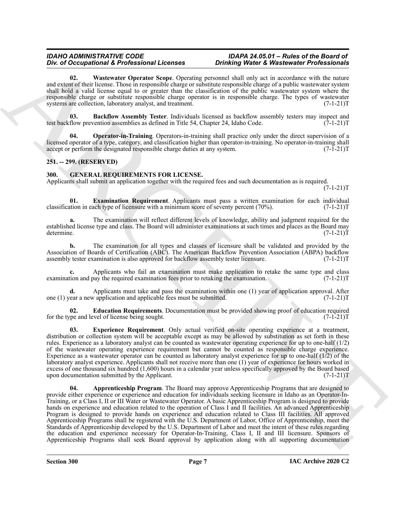#### *IDAHO ADMINISTRATIVE CODE IDAPA 24.05.01 – Rules of the Board of*  **Div. of Occupational & Professional Licenses**

<span id="page-6-9"></span>**02. Wastewater Operator Scope**. Operating personnel shall only act in accordance with the nature and extent of their license. Those in responsible charge or substitute responsible charge of a public wastewater system shall hold a valid license equal to or greater than the classification of the public wastewater system where the responsible charge or substitute responsible charge operator is in responsible charge. The types of wastewater systems are collection, laboratory analyst, and treatment. (7-1-21)T

<span id="page-6-7"></span>**03.** Backflow Assembly Tester. Individuals licensed as backflow assembly testers may inspect and flow prevention assemblies as defined in Title 54, Chapter 24, Idaho Code. (7-1-21) test backflow prevention assemblies as defined in Title 54, Chapter 24, Idaho Code.

<span id="page-6-8"></span>**Operator-in-Training**. Operators-in-training shall practice only under the direct supervision of a licensed operator of a type, category, and classification higher than operator-in-training. No operator-in-training shall accept or perform the designated responsible charge duties at any system. (7-1-21) accept or perform the designated responsible charge duties at any system.

#### <span id="page-6-0"></span>**251. -- 299. (RESERVED)**

#### <span id="page-6-2"></span><span id="page-6-1"></span>**300. GENERAL REQUIREMENTS FOR LICENSE.**

Applicants shall submit an application together with the required fees and such documentation as is required.  $(7-1-21)T$ 

<span id="page-6-5"></span>**01. Examination Requirement**. Applicants must pass a written examination for each individual ation in each type of licensure with a minimum score of seventy percent (70%). (7-1-21) classification in each type of licensure with a minimum score of seventy percent (70%).

**a.** The examination will reflect different levels of knowledge, ability and judgment required for the established license type and class. The Board will administer examinations at such times and places as the Board may determine. (7-1-21)T

**b.** The examination for all types and classes of licensure shall be validated and provided by the Association of Boards of Certification (ABC). The American Backflow Prevention Association (ABPA) backflow assembly tester examination is also approved for backflow assembly tester licensure. (7-1-21)T assembly tester examination is also approved for backflow assembly tester licensure.

**c.** Applicants who fail an examination must make application to retake the same type and class tion and pay the required examination fees prior to retaking the examination. (7-1-21) examination and pay the required examination fees prior to retaking the examination.

**d.** Applicants must take and pass the examination within one (1) year of application approval. After vear a new application and applicable fees must be submitted. (7-1-21) one (1) year a new application and applicable fees must be submitted.

<span id="page-6-4"></span>**Education Requirements**. Documentation must be provided showing proof of education required vel of license being sought. (7-1-21)T for the type and level of license being sought.

<span id="page-6-6"></span><span id="page-6-3"></span>**03. Experience Requirement**. Only actual verified on-site operating experience at a treatment, distribution or collection system will be acceptable except as may be allowed by substitution as set forth in these rules. Experience as a laboratory analyst can be counted as wastewater operating experience for up to one-half (1/2) of the wastewater operating experience requirement but cannot be counted as responsible charge experience. Experience as a wastewater operator can be counted as laboratory analyst experience for up to one-half (1/2) of the laboratory analyst experience. Applicants shall not receive more than one (1) year of experience for hours worked in excess of one thousand six hundred (1,600) hours in a calendar year unless specifically approved by the Board based upon documentation submitted by the Applicant. (7-1-21)T

Doe of Oceanomia K Portugalisation (Control de Romanomia) (Control de Romanomia en Statistica)<br>
and many control de Romanomia en Statistica (Control de Romanomia en Statistica)<br>
and many control de Romanomia en Statistica **04. Apprenticeship Program**. The Board may approve Apprenticeship Programs that are designed to provide either experience or experience and education for individuals seeking licensure in Idaho as an Operator-In-Training, or a Class I, II or III Water or Wastewater Operator. A basic Apprenticeship Program is designed to provide hands on experience and education related to the operation of Class I and II facilities. An advanced Apprenticeship Program is designed to provide hands on experience and education related to Class III facilities. All approved Apprenticeship Programs shall be registered with the U.S. Department of Labor, Office of Apprenticeship, meet the Standards of Apprenticeship developed by the U.S. Department of Labor and meet the intent of these rules regarding the education and experience necessary for Operator-In-Training, Class I, II and III licensure. Sponsors of Apprenticeship Programs shall seek Board approval by application along with all supporting documentation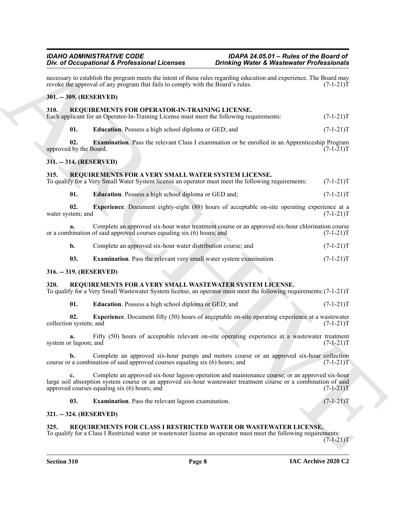<span id="page-7-19"></span><span id="page-7-18"></span><span id="page-7-17"></span><span id="page-7-12"></span><span id="page-7-3"></span><span id="page-7-2"></span><span id="page-7-1"></span><span id="page-7-0"></span>*Bio d'Occupation de la Forenza de Leonardo de Leonardo de Leonardo Professionalisme.*<br>
ARCHIVENTE REVENIER (POSTERIN PRODUCTION DE LA FINANCIA DE LA FINANCIA DE LA FINANCIA DE LA FINANCIA DE LA FINANCIA DE LA FINANCIA D necessary to establish the program meets the intent of these rules regarding education and experience. The Board may revoke the approval of any program that fails to comply with the Board's rules. (7-1-21) revoke the approval of any program that fails to comply with the Board's rules. **301. -- 309. (RESERVED) 310. REQUIREMENTS FOR OPERATOR-IN-TRAINING LICENSE.** Each applicant for an Operator-In-Training License must meet the following requirements: (7-1-21)T **01. Education**. Possess a high school diploma or GED; and  $(7-1-21)T$ **02. Examination**. Pass the relevant Class I examination or be enrolled in an Apprenticeship Program by the Board. (7-1-21)T approved by the Board. **311. -- 314. (RESERVED) 315. REQUIREMENTS FOR A VERY SMALL WATER SYSTEM LICENSE.** To qualify for a Very Small Water System license an operator must meet the following requirements: (7-1-21)T **01. Education**. Possess a high school diploma or GED and;  $(7-1-21)T$ **02.** Experience. Document eighty-eight (88) hours of acceptable on-site operating experience at a stem; and (7-1-21)T water system; and **a.** Complete an approved six-hour water treatment course or an approved six-hour chlorination course or a combination of said approved courses equaling six (6) hours; and (7-1-21)T **b.** Complete an approved six-hour water distribution course; and  $(7-1-21)$ T **03. Examination**. Pass the relevant very small water system examination.  $(7-1-21)T$ **316. -- 319. (RESERVED) 320. REQUIREMENTS FOR A VERY SMALL WASTEWATER SYSTEM LICENSE.** To qualify for a Very Small Wastewater System license, an operator must meet the following requirements:(7-1-21)T **01. Education**. Possess a high school diploma or GED; and  $(7-1-21)$ T **02. Experience**. Document fifty (50) hours of acceptable on-site operating experience at a wastewater in system; and  $(7-1-21)$ collection system; and

<span id="page-7-15"></span><span id="page-7-14"></span><span id="page-7-13"></span><span id="page-7-11"></span><span id="page-7-9"></span><span id="page-7-8"></span><span id="page-7-5"></span><span id="page-7-4"></span>**a.** Fifty (50) hours of acceptable relevant on-site operating experience at a wastewater treatment r lagoon; and  $(7-1-21)T$ system or lagoon; and

**b.** Complete an approved six-hour pumps and motors course or an approved six-hour collection r a combination of said approved courses equaling six (6) hours; and  $(7-1-21)$ course or a combination of said approved courses equaling six  $(6)$  hours; and

**c.** Complete an approved six-hour lagoon operation and maintenance course; or an approved six-hour large soil absorption system course or an approved six-hour wastewater treatment course or a combination of said approved courses equaling six (6) hours; and  $(7-1-21)$ approved courses equaling six  $(6)$  hours; and

<span id="page-7-16"></span><span id="page-7-10"></span>**03. Examination**. Pass the relevant lagoon examination. (7-1-21)T

#### <span id="page-7-6"></span>**321. -- 324. (RESERVED)**

#### <span id="page-7-7"></span>**325. REQUIREMENTS FOR CLASS I RESTRICTED WATER OR WASTEWATER LICENSE.**

To qualify for a Class I Restricted water or wastewater license an operator must meet the following requirements:  $(7-1-21)T$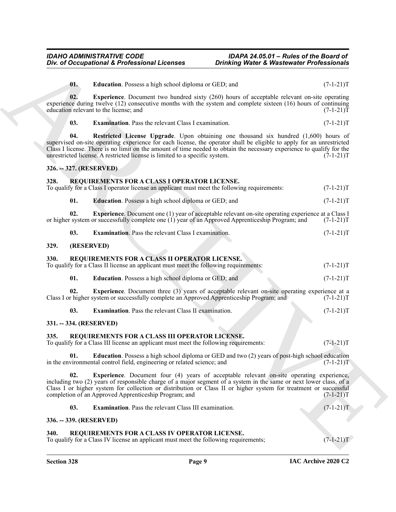<span id="page-8-24"></span><span id="page-8-23"></span><span id="page-8-22"></span><span id="page-8-21"></span><span id="page-8-20"></span><span id="page-8-19"></span><span id="page-8-18"></span><span id="page-8-17"></span><span id="page-8-16"></span><span id="page-8-15"></span><span id="page-8-14"></span><span id="page-8-13"></span><span id="page-8-12"></span><span id="page-8-11"></span><span id="page-8-10"></span><span id="page-8-9"></span><span id="page-8-8"></span><span id="page-8-7"></span><span id="page-8-6"></span><span id="page-8-5"></span><span id="page-8-4"></span><span id="page-8-3"></span><span id="page-8-2"></span><span id="page-8-1"></span><span id="page-8-0"></span>

| Div. of Occupational & Professional Licenses |                                                                                                                                                                                                                                                                                                                                                                                                                       | <b>Drinking Water &amp; Wastewater Professionals</b> |             |
|----------------------------------------------|-----------------------------------------------------------------------------------------------------------------------------------------------------------------------------------------------------------------------------------------------------------------------------------------------------------------------------------------------------------------------------------------------------------------------|------------------------------------------------------|-------------|
| 01.                                          | <b>Education</b> . Possess a high school diploma or GED; and                                                                                                                                                                                                                                                                                                                                                          |                                                      | $(7-1-21)T$ |
| 02.                                          | <b>Experience</b> . Document two hundred sixty (260) hours of acceptable relevant on-site operating<br>experience during twelve (12) consecutive months with the system and complete sixteen (16) hours of continuing<br>education relevant to the license; and                                                                                                                                                       |                                                      | $(7-1-21)T$ |
| 03.                                          | <b>Examination.</b> Pass the relevant Class I examination.                                                                                                                                                                                                                                                                                                                                                            |                                                      | $(7-1-21)T$ |
| 04.                                          | Restricted License Upgrade. Upon obtaining one thousand six hundred (1,600) hours of<br>supervised on-site operating experience for each license, the operator shall be eligible to apply for an unrestricted<br>Class I license. There is no limit on the amount of time needed to obtain the necessary experience to qualify for the<br>unrestricted license. A restricted license is limited to a specific system. |                                                      | $(7-1-21)T$ |
| 326. -- 327. (RESERVED)                      |                                                                                                                                                                                                                                                                                                                                                                                                                       |                                                      |             |
| 328.                                         | REQUIREMENTS FOR A CLASS I OPERATOR LICENSE.<br>To qualify for a Class I operator license an applicant must meet the following requirements:                                                                                                                                                                                                                                                                          |                                                      | $(7-1-21)T$ |
| 01.                                          | <b>Education</b> . Possess a high school diploma or GED; and                                                                                                                                                                                                                                                                                                                                                          |                                                      | $(7-1-21)T$ |
| 02.                                          | <b>Experience.</b> Document one (1) year of acceptable relevant on-site operating experience at a Class I<br>or higher system or successfully complete one (1) year of an Approved Apprenticeship Program; and                                                                                                                                                                                                        |                                                      | $(7-1-21)T$ |
| 03.                                          | Examination. Pass the relevant Class I examination.                                                                                                                                                                                                                                                                                                                                                                   |                                                      | $(7-1-21)T$ |
| 329.                                         | (RESERVED)                                                                                                                                                                                                                                                                                                                                                                                                            |                                                      |             |
| 330.                                         | REQUIREMENTS FOR A CLASS II OPERATOR LICENSE.<br>To qualify for a Class II license an applicant must meet the following requirements:                                                                                                                                                                                                                                                                                 |                                                      | $(7-1-21)T$ |
| 01.                                          | Education. Possess a high school diploma or GED; and                                                                                                                                                                                                                                                                                                                                                                  |                                                      | $(7-1-21)T$ |
| 02.                                          | <b>Experience</b> . Document three (3) years of acceptable relevant on-site operating experience at a<br>Class I or higher system or successfully complete an Approved Apprenticeship Program; and                                                                                                                                                                                                                    |                                                      | $(7-1-21)T$ |
| 03.                                          | <b>Examination.</b> Pass the relevant Class II examination.                                                                                                                                                                                                                                                                                                                                                           |                                                      | $(7-1-21)T$ |
| 331. -- 334. (RESERVED)                      |                                                                                                                                                                                                                                                                                                                                                                                                                       |                                                      |             |
| 335.                                         | REQUIREMENTS FOR A CLASS III OPERATOR LICENSE.<br>To qualify for a Class III license an applicant must meet the following requirements:                                                                                                                                                                                                                                                                               |                                                      | $(7-1-21)T$ |
| 01.                                          | <b>Education</b> . Possess a high school diploma or GED and two (2) years of post-high school education<br>in the environmental control field, engineering or related science; and                                                                                                                                                                                                                                    |                                                      | $(7-1-21)T$ |
| 02.                                          | Experience. Document four (4) years of acceptable relevant on-site operating experience,<br>including two (2) years of responsible charge of a major segment of a system in the same or next lower class, of a<br>Class I or higher system for collection or distribution or Class II or higher system for treatment or successful<br>completion of an Approved Apprenticeship Program; and                           |                                                      | $(7-1-21)T$ |
| 03.                                          | <b>Examination.</b> Pass the relevant Class III examination.                                                                                                                                                                                                                                                                                                                                                          |                                                      | $(7-1-21)T$ |
| 336. -- 339. (RESERVED)                      |                                                                                                                                                                                                                                                                                                                                                                                                                       |                                                      |             |
|                                              |                                                                                                                                                                                                                                                                                                                                                                                                                       |                                                      |             |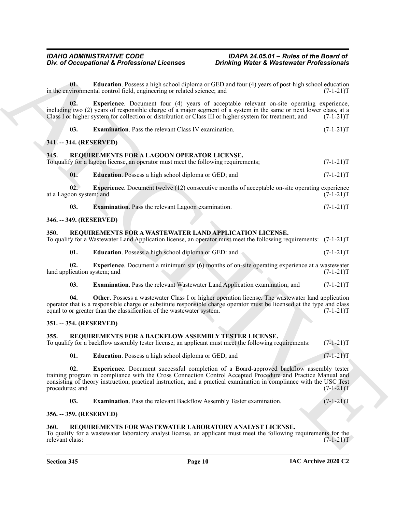<span id="page-9-12"></span>**01. Education**. Possess a high school diploma or GED and four (4) years of post-high school education vironmental control field, engineering or related science; and  $(7-1-21)$ in the environmental control field, engineering or related science; and

**02. Experience**. Document four (4) years of acceptable relevant on-site operating experience, including two (2) years of responsible charge of a major segment of a system in the same or next lower class, at a<br>Class I or higher system for collection or distribution or Class III or higher system for treatment; and Class I or higher system for collection or distribution or Class III or higher system for treatment; and

<span id="page-9-15"></span><span id="page-9-14"></span><span id="page-9-13"></span>**03. Examination**. Pass the relevant Class IV examination. (7-1-21)T

#### <span id="page-9-0"></span>**341. -- 344. (RESERVED)**

#### <span id="page-9-1"></span>**345. REQUIREMENTS FOR A LAGOON OPERATOR LICENSE.**

To qualify for a lagoon license, an operator must meet the following requirements;  $(7-1-21)$ T

<span id="page-9-18"></span><span id="page-9-16"></span>**01. Education**. Possess a high school diploma or GED; and  $(7-1-21)$ T

**02. Experience**. Document twelve (12) consecutive months of acceptable on-site operating experience at a Lagoon system; and (7-1-21)T

<span id="page-9-19"></span><span id="page-9-17"></span>

| 03 |  | <b>Examination.</b> Pass the relevant Lagoon examination. |  |  | $(7-1-21)T$ |  |
|----|--|-----------------------------------------------------------|--|--|-------------|--|
|----|--|-----------------------------------------------------------|--|--|-------------|--|

#### <span id="page-9-2"></span>**346. -- 349. (RESERVED)**

#### <span id="page-9-3"></span>**350. REQUIREMENTS FOR A WASTEWATER LAND APPLICATION LICENSE.**

To qualify for a Wastewater Land Application license, an operator must meet the following requirements: (7-1-21)T

<span id="page-9-22"></span><span id="page-9-20"></span>**01. Education**. Possess a high school diploma or GED: and  $(7-1-21)T$ 

**02. Experience**. Document a minimum six (6) months of on-site operating experience at a wastewater lication system; and  $(7-1-21)T$ land application system; and

<span id="page-9-23"></span><span id="page-9-21"></span>**03. Examination**. Pass the relevant Wastewater Land Application examination; and  $(7-1-21)T$ 

**04.** Other. Possess a wastewater Class I or higher operation license. The wastewater land application operator that is a responsible charge or substitute responsible charge operator must be licensed at the type and class equal to or greater than the classification of the wastewater system. (7-1-21) equal to or greater than the classification of the wastewater system.

#### <span id="page-9-4"></span>**351. -- 354. (RESERVED)**

#### <span id="page-9-8"></span><span id="page-9-5"></span>**355. REQUIREMENTS FOR A BACKFLOW ASSEMBLY TESTER LICENSE.**

To qualify for a backflow assembly tester license, an applicant must meet the following requirements: (7-1-21)T

<span id="page-9-11"></span><span id="page-9-9"></span>**01. Education**. Possess a high school diploma or GED, and  $(7-1-21)$ T

One of Occupational K. Professional Licenses<br>
Units (a) Constant Points and Points and Points and Constant Points and Theorem (A) and the Constant Points and Constant Constant<br>
in the Constant Points and Constant Constant **02. Experience**. Document successful completion of a Board-approved backflow assembly tester training program in compliance with the Cross Connection Control Accepted Procedure and Practice Manual and consisting of theory instruction, practical instruction, and a practical examination in compliance with the USC Test procedures; and  $(7-1-21)$ T procedures; and

<span id="page-9-24"></span><span id="page-9-10"></span>**03. Examination**. Pass the relevant Backflow Assembly Tester examination. (7-1-21)T

#### <span id="page-9-6"></span>**356. -- 359. (RESERVED)**

#### <span id="page-9-7"></span>**360. REQUIREMENTS FOR WASTEWATER LABORATORY ANALYST LICENSE.**

To qualify for a wastewater laboratory analyst license, an applicant must meet the following requirements for the relevant class:  $(7-1-21)$ T relevant class: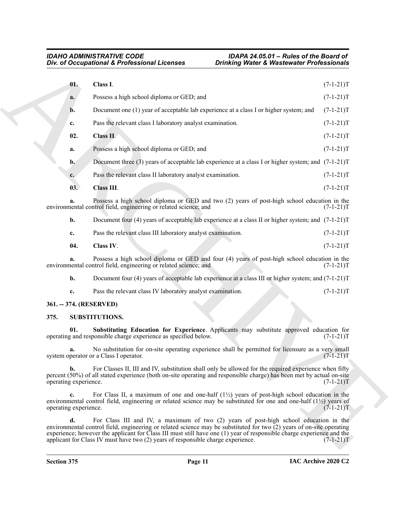<span id="page-10-3"></span><span id="page-10-2"></span>

| Div. of Occupational & Professional Licenses |                                                                                                                                                                                                                                                                                                                                                   | <b>Drinking Water &amp; Wastewater Professionals</b> |             |
|----------------------------------------------|---------------------------------------------------------------------------------------------------------------------------------------------------------------------------------------------------------------------------------------------------------------------------------------------------------------------------------------------------|------------------------------------------------------|-------------|
| 01.                                          | Class I.                                                                                                                                                                                                                                                                                                                                          |                                                      | $(7-1-21)T$ |
| a.                                           | Possess a high school diploma or GED; and                                                                                                                                                                                                                                                                                                         |                                                      | $(7-1-21)T$ |
| b.                                           | Document one (1) year of acceptable lab experience at a class I or higher system; and                                                                                                                                                                                                                                                             |                                                      | $(7-1-21)T$ |
| c.                                           | Pass the relevant class I laboratory analyst examination.                                                                                                                                                                                                                                                                                         |                                                      | $(7-1-21)T$ |
| 02.                                          | Class II.                                                                                                                                                                                                                                                                                                                                         |                                                      | $(7-1-21)T$ |
| a.                                           | Possess a high school diploma or GED; and                                                                                                                                                                                                                                                                                                         |                                                      | $(7-1-21)T$ |
| $\mathbf{b}$ .                               | Document three (3) years of acceptable lab experience at a class I or higher system; and $(7-1-21)$ T                                                                                                                                                                                                                                             |                                                      |             |
| $c_{\cdot}$                                  | Pass the relevant class II laboratory analyst examination.                                                                                                                                                                                                                                                                                        |                                                      | $(7-1-21)T$ |
| 03.                                          | <b>Class III.</b>                                                                                                                                                                                                                                                                                                                                 |                                                      | $(7-1-21)T$ |
| a.                                           | Possess a high school diploma or GED and two (2) years of post-high school education in the<br>environmental control field, engineering or related science; and                                                                                                                                                                                   |                                                      | $(7-1-21)T$ |
| b.                                           | Document four (4) years of acceptable lab experience at a class II or higher system; and $(7-1-21)$ T                                                                                                                                                                                                                                             |                                                      |             |
| c.                                           | Pass the relevant class III laboratory analyst examination.                                                                                                                                                                                                                                                                                       |                                                      | $(7-1-21)T$ |
| 04.                                          | Class IV.                                                                                                                                                                                                                                                                                                                                         |                                                      | $(7-1-21)T$ |
|                                              | Possess a high school diploma or GED and four (4) years of post-high school education in the<br>environmental control field, engineering or related science; and                                                                                                                                                                                  |                                                      | $(7-1-21)T$ |
| b.                                           | Document four (4) years of acceptable lab experience at a class III or higher system; and $(7-1-21)$ T                                                                                                                                                                                                                                            |                                                      |             |
| c.                                           | Pass the relevant class IV laboratory analyst examination.                                                                                                                                                                                                                                                                                        |                                                      | $(7-1-21)T$ |
|                                              | 361. -- 374. (RESERVED)                                                                                                                                                                                                                                                                                                                           |                                                      |             |
| 375.                                         | <b>SUBSTITUTIONS.</b>                                                                                                                                                                                                                                                                                                                             |                                                      |             |
| 01.                                          | Substituting Education for Experience. Applicants may substitute approved education for<br>operating and responsible charge experience as specified below.                                                                                                                                                                                        |                                                      | $(7-1-21)T$ |
| a.                                           | No substitution for on-site operating experience shall be permitted for licensure as a very small<br>system operator or a Class I operator.                                                                                                                                                                                                       |                                                      | $(7-1-21)T$ |
| b.<br>operating experience.                  | For Classes II, III and IV, substitution shall only be allowed for the required experience when fifty<br>percent (50%) of all stated experience (both on-site operating and responsible charge) has been met by actual on-site                                                                                                                    |                                                      | $(7-1-21)T$ |
| $c_{\bullet}$<br>operating experience.       | For Class II, a maximum of one and one-half $(1/2)$ years of post-high school education in the<br>environmental control field, engineering or related science may be substituted for one and one-half $(1/2)$ years of                                                                                                                            |                                                      | $(7-1-21)T$ |
| d.                                           | For Class III and IV, a maximum of two (2) years of post-high school education in the<br>environmental control field, engineering or related science may be substituted for two $\tilde{C}$ ) years of on-site operating<br>experience; however the applicant for Class III must still have one (1) year of responsible charge experience and the |                                                      |             |

#### <span id="page-10-7"></span><span id="page-10-6"></span><span id="page-10-5"></span><span id="page-10-4"></span><span id="page-10-1"></span><span id="page-10-0"></span>**375. SUBSTITUTIONS.**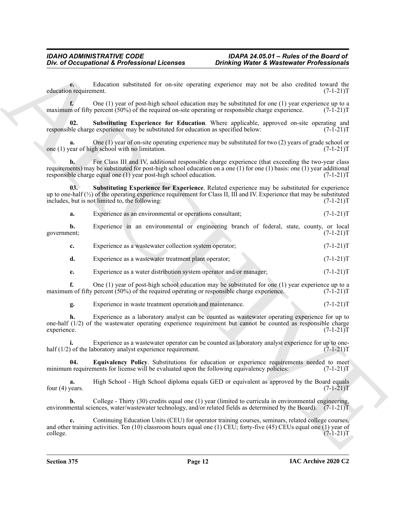**e.** Education substituted for on-site operating experience may not be also credited toward the nequirement. (7-1-21)T education requirement.

**f.** One (1) year of post-high school education may be substituted for one (1) year experience up to a maximum of fifty percent (50%) of the required on-site operating or responsible charge experience.  $(7-1-21)$ T

<span id="page-11-1"></span>**Substituting Experience for Education**. Where applicable, approved on-site operating and e experience may be substituted for education as specified below: (7-1-21)T responsible charge experience may be substituted for education as specified below:

**a.** One (1) year of on-site operating experience may be substituted for two (2) years of grade school or vear of high school with no limitation. (7-1-21)T one  $(1)$  year of high school with no limitation.

One of Oceanpidential & Professional Licenses<br>
Considering Water & Wastewalter Professionals<br>
channel and the considered and the system of the system of the system of the system of the system of the system of the system o **b.** For Class III and IV, additional responsible charge experience (that exceeding the two-year class requirements) may be substituted for post-high school education on a one (1) for one (1) basis: one (1) year additional<br>responsible charge equal one (1) year post-high school education.  $(7-1-21)T$ responsible charge equal one  $(1)$  year post-high school education.

**03. Substituting Experience for Experience**. Related experience may be substituted for experience up to one-half (½) of the operating experience requirement for Class II, III and IV. Experience that may be substituted includes, but is not limited to, the following:  $(7-1-21)T$ 

<span id="page-11-2"></span>**a.** Experience as an environmental or operations consultant;  $(7-1-21)$ T

**b.** Experience in an environmental or engineering branch of federal, state, county, or local government; (7-1-21)T

**c.** Experience as a wastewater collection system operator;  $(7-1-21)$ T

**d.** Experience as a wastewater treatment plant operator;  $(7-1-21)$ T

**e.** Experience as a water distribution system operator and/or manager;  $(7-1-21)$ T

**f.** One (1) year of post-high school education may be substituted for one (1) year experience up to a maximum of fifty percent (50%) of the required operating or responsible charge experience.  $(7-1-21)$ T

**g.** Experience in waste treatment operation and maintenance.  $(7-1-21)$ T

**h.** Experience as a laboratory analyst can be counted as wastewater operating experience for up to one-half (1/2) of the wastewater operating experience requirement but cannot be counted as responsible charge experience. (7-1-21)T experience. (7-1-21)T

**i.** Experience as a wastewater operator can be counted as laboratory analyst experience for up to onehalf (1/2) of the laboratory analyst experience requirement. (7-1-21)  $\Gamma$ 

<span id="page-11-0"></span>**04. Equivalency Policy**. Substitutions for education or experience requirements needed to meet in requirements for license will be evaluated upon the following equivalency policies:  $(7-1-21)$ minimum requirements for license will be evaluated upon the following equivalency policies:

**a.** High School - High School diploma equals GED or equivalent as approved by the Board equals four (4) years.  $(7-1-21)T$ 

**b.** College - Thirty (30) credits equal one (1) year (limited to curricula in environmental engineering, environmental sciences, water/wastewater technology, and/or related fields as determined by the Board). (7-1-21)T

**c.** Continuing Education Units (CEU) for operator training courses, seminars, related college courses, and other training activities. Ten (10) classroom hours equal one (1) CEU; forty-five (45) CEUs equal one (1) year of college. (7-1-21)T college.  $(7-1-21)$ T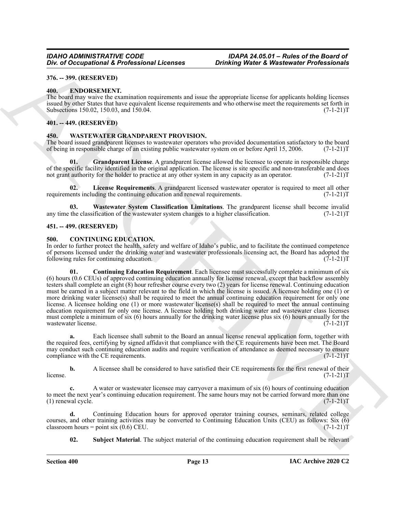#### <span id="page-12-0"></span>**376. -- 399. (RESERVED)**

#### <span id="page-12-9"></span><span id="page-12-1"></span>**400. ENDORSEMENT.**

The board may waive the examination requirements and issue the appropriate license for applicants holding licenses issued by other States that have equivalent license requirements and who otherwise meet the requirements set forth in Subsections 150.02, 150.03, and 150.04. (7-1-21)T

#### <span id="page-12-2"></span>**401. -- 449. (RESERVED)**

#### <span id="page-12-10"></span><span id="page-12-3"></span>**450. WASTEWATER GRANDPARENT PROVISION.**

The board issued grandparent licenses to wastewater operators who provided documentation satisfactory to the board of being in responsible charge of an existing public wastewater system on or before April 15, 2006. (7-1-21 of being in responsible charge of an existing public wastewater system on or before April 15, 2006.

<span id="page-12-11"></span>**Grandparent License**. A grandparent license allowed the licensee to operate in responsible charge of the specific facility identified in the original application. The license is site specific and non-transferable and does not grant authority for the holder to practice at any other system in any capacity as an operator.  $(7-1-21)$ T

<span id="page-12-12"></span>**02. License Requirements**. A grandparent licensed wastewater operator is required to meet all other requirements including the continuing education and renewal requirements. (7-1-21)T

<span id="page-12-13"></span>**03.** Wastewater System Classification Limitations. The grandparent license shall become invalid the classification of the wastewater system changes to a higher classification. (7-1-21) any time the classification of the wastewater system changes to a higher classification.

#### <span id="page-12-4"></span>**451. -- 499. (RESERVED)**

#### <span id="page-12-6"></span><span id="page-12-5"></span>**500. CONTINUING EDUCATION.**

<span id="page-12-7"></span>In order to further protect the health, safety and welfare of Idaho's public, and to facilitate the continued competence of persons licensed under the drinking water and wastewater professionals licensing act, the Board has adopted the following rules for continuing education. (7-1-21)T

*Div. a)* Occupational & *Frobinism* Licences<br>
36. a) Occupational & *Frobinism* Licences<br>
36. a) Occupational ARCHIVES (1998) and the second of the second of the second of the second of the second of the second of the se **01. Continuing Education Requirement**. Each licensee must successfully complete a minimum of six (6) hours (0.6 CEUs) of approved continuing education annually for license renewal, except that backflow assembly testers shall complete an eight (8) hour refresher course every two (2) years for license renewal. Continuing education must be earned in a subject matter relevant to the field in which the license is issued. A licensee holding one (1) or more drinking water license(s) shall be required to meet the annual continuing education requirement for only one license. A licensee holding one (1) or more wastewater license(s) shall be required to meet the annual continuing education requirement for only one license. A licensee holding both drinking water and wastewater class licenses must complete a minimum of six (6) hours annually for the drinking water license plus six (6) hours annually for the wastewater license. (7-1-21)T

**a.** Each licensee shall submit to the Board an annual license renewal application form, together with the required fees, certifying by signed affidavit that compliance with the CE requirements have been met. The Board may conduct such continuing education audits and require verification of attendance as deemed necessary to ensure compliance with the CE requirements. (7-1-21) compliance with the CE requirements.

**b.** A licensee shall be considered to have satisfied their CE requirements for the first renewal of their  $(7-1-21)$ T  $l$  (7-1-21)T

**c.** A water or wastewater licensee may carryover a maximum of six (6) hours of continuing education to meet the next year's continuing education requirement. The same hours may not be carried forward more than one (1) renewal cycle. (7-1-21)  $(1)$  renewal cycle.

**d.** Continuing Education hours for approved operator training courses, seminars, related college courses, and other training activities may be converted to Continuing Education Units (CEU) as follows: Six  $\overline{(6)}$  classroom hours = point six (0.6) CEU. (7-1-21)T classroom hours = point six  $(0.6)$  CEU.

<span id="page-12-8"></span>**02.** Subject Material. The subject material of the continuing education requirement shall be relevant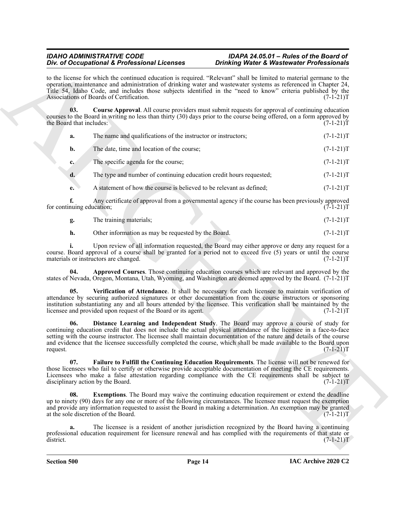#### <span id="page-13-1"></span>*IDAHO ADMINISTRATIVE CODE IDAPA 24.05.01 – Rules of the Board of*  **Div. of Occupational & Professional Licenses**

| to the license for which the continued education is required. "Relevant" shall be limited to material germane to the<br>operation, maintenance and administration of drinking water and wastewater systems as referenced in Chapter 24,<br>Title 54, Idaho Code, and includes those subjects identified in the "need to know" criteria published by the<br>Associations of Boards of Certification.<br>03.<br><b>Course Approval.</b> All course providers must submit requests for approval of continuing education<br>courses to the Board in writing no less than thirty (30) days prior to the course being offered, on a form approved by<br>the Board that includes:<br>The name and qualifications of the instructor or instructors;<br>a.<br>The date, time and location of the course;<br>b.<br>The specific agenda for the course;<br>c.<br>The type and number of continuing education credit hours requested;<br>d.<br>A statement of how the course is believed to be relevant as defined;<br>e.<br>f.<br>Any certificate of approval from a governmental agency if the course has been previously approved<br>for continuing education;<br>The training materials;<br>g.<br>h.<br>Other information as may be requested by the Board.<br>Upon review of all information requested, the Board may either approve or deny any request for a<br>course. Board approval of a course shall be granted for a period not to exceed five (5) years or until the course<br>materials or instructors are changed.<br>Approved Courses. Those continuing education courses which are relevant and approved by the<br>04.<br>states of Nevada, Oregon, Montana, Utah, Wyoming, and Washington are deemed approved by the Board. (7-1-21)T<br>Verification of Attendance. It shall be necessary for each licensee to maintain verification of<br>05.<br>attendance by securing authorized signatures or other documentation from the course instructors or sponsoring<br>institution substantiating any and all hours attended by the licensee. This verification shall be maintained by the<br>licensee and provided upon request of the Board or its agent.<br>Distance Learning and Independent Study. The Board may approve a course of study for<br>06.<br>continuing education credit that does not include the actual physical attendance of the licensee in a face-to-face<br>setting with the course instructor. The licensee shall maintain documentation of the nature and details of the course<br>and evidence that the licensee successfully completed the course, which shall be made available to the Board upon<br>request.<br>07.<br>Failure to Fulfill the Continuing Education Requirements. The license will not be renewed for<br>those licensees who fail to certify or otherwise provide acceptable documentation of meeting the CE requirements.<br>Licensees who make a false attestation regarding compliance with the CE requirements shall be subject to | <b>Drinking Water &amp; Wastewater Professionals</b> |
|----------------------------------------------------------------------------------------------------------------------------------------------------------------------------------------------------------------------------------------------------------------------------------------------------------------------------------------------------------------------------------------------------------------------------------------------------------------------------------------------------------------------------------------------------------------------------------------------------------------------------------------------------------------------------------------------------------------------------------------------------------------------------------------------------------------------------------------------------------------------------------------------------------------------------------------------------------------------------------------------------------------------------------------------------------------------------------------------------------------------------------------------------------------------------------------------------------------------------------------------------------------------------------------------------------------------------------------------------------------------------------------------------------------------------------------------------------------------------------------------------------------------------------------------------------------------------------------------------------------------------------------------------------------------------------------------------------------------------------------------------------------------------------------------------------------------------------------------------------------------------------------------------------------------------------------------------------------------------------------------------------------------------------------------------------------------------------------------------------------------------------------------------------------------------------------------------------------------------------------------------------------------------------------------------------------------------------------------------------------------------------------------------------------------------------------------------------------------------------------------------------------------------------------------------------------------------------------------------------------------------------------------------------------------------------------------------------------------------------------------------------------------------------------------------------------------------------------------------------------------------------------------------------------------------------------------------------------------------------------|------------------------------------------------------|
|                                                                                                                                                                                                                                                                                                                                                                                                                                                                                                                                                                                                                                                                                                                                                                                                                                                                                                                                                                                                                                                                                                                                                                                                                                                                                                                                                                                                                                                                                                                                                                                                                                                                                                                                                                                                                                                                                                                                                                                                                                                                                                                                                                                                                                                                                                                                                                                                                                                                                                                                                                                                                                                                                                                                                                                                                                                                                                                                                                                        | $(7-1-21)T$                                          |
|                                                                                                                                                                                                                                                                                                                                                                                                                                                                                                                                                                                                                                                                                                                                                                                                                                                                                                                                                                                                                                                                                                                                                                                                                                                                                                                                                                                                                                                                                                                                                                                                                                                                                                                                                                                                                                                                                                                                                                                                                                                                                                                                                                                                                                                                                                                                                                                                                                                                                                                                                                                                                                                                                                                                                                                                                                                                                                                                                                                        | $(7-1-21)T$                                          |
|                                                                                                                                                                                                                                                                                                                                                                                                                                                                                                                                                                                                                                                                                                                                                                                                                                                                                                                                                                                                                                                                                                                                                                                                                                                                                                                                                                                                                                                                                                                                                                                                                                                                                                                                                                                                                                                                                                                                                                                                                                                                                                                                                                                                                                                                                                                                                                                                                                                                                                                                                                                                                                                                                                                                                                                                                                                                                                                                                                                        | $(7-1-21)T$                                          |
|                                                                                                                                                                                                                                                                                                                                                                                                                                                                                                                                                                                                                                                                                                                                                                                                                                                                                                                                                                                                                                                                                                                                                                                                                                                                                                                                                                                                                                                                                                                                                                                                                                                                                                                                                                                                                                                                                                                                                                                                                                                                                                                                                                                                                                                                                                                                                                                                                                                                                                                                                                                                                                                                                                                                                                                                                                                                                                                                                                                        | $(7-1-21)T$                                          |
|                                                                                                                                                                                                                                                                                                                                                                                                                                                                                                                                                                                                                                                                                                                                                                                                                                                                                                                                                                                                                                                                                                                                                                                                                                                                                                                                                                                                                                                                                                                                                                                                                                                                                                                                                                                                                                                                                                                                                                                                                                                                                                                                                                                                                                                                                                                                                                                                                                                                                                                                                                                                                                                                                                                                                                                                                                                                                                                                                                                        | $(7-1-21)T$                                          |
|                                                                                                                                                                                                                                                                                                                                                                                                                                                                                                                                                                                                                                                                                                                                                                                                                                                                                                                                                                                                                                                                                                                                                                                                                                                                                                                                                                                                                                                                                                                                                                                                                                                                                                                                                                                                                                                                                                                                                                                                                                                                                                                                                                                                                                                                                                                                                                                                                                                                                                                                                                                                                                                                                                                                                                                                                                                                                                                                                                                        | $(7-1-21)T$                                          |
|                                                                                                                                                                                                                                                                                                                                                                                                                                                                                                                                                                                                                                                                                                                                                                                                                                                                                                                                                                                                                                                                                                                                                                                                                                                                                                                                                                                                                                                                                                                                                                                                                                                                                                                                                                                                                                                                                                                                                                                                                                                                                                                                                                                                                                                                                                                                                                                                                                                                                                                                                                                                                                                                                                                                                                                                                                                                                                                                                                                        | $(7-1-21)T$                                          |
|                                                                                                                                                                                                                                                                                                                                                                                                                                                                                                                                                                                                                                                                                                                                                                                                                                                                                                                                                                                                                                                                                                                                                                                                                                                                                                                                                                                                                                                                                                                                                                                                                                                                                                                                                                                                                                                                                                                                                                                                                                                                                                                                                                                                                                                                                                                                                                                                                                                                                                                                                                                                                                                                                                                                                                                                                                                                                                                                                                                        | $(7-1-21)T$                                          |
|                                                                                                                                                                                                                                                                                                                                                                                                                                                                                                                                                                                                                                                                                                                                                                                                                                                                                                                                                                                                                                                                                                                                                                                                                                                                                                                                                                                                                                                                                                                                                                                                                                                                                                                                                                                                                                                                                                                                                                                                                                                                                                                                                                                                                                                                                                                                                                                                                                                                                                                                                                                                                                                                                                                                                                                                                                                                                                                                                                                        | $(7-1-21)T$                                          |
|                                                                                                                                                                                                                                                                                                                                                                                                                                                                                                                                                                                                                                                                                                                                                                                                                                                                                                                                                                                                                                                                                                                                                                                                                                                                                                                                                                                                                                                                                                                                                                                                                                                                                                                                                                                                                                                                                                                                                                                                                                                                                                                                                                                                                                                                                                                                                                                                                                                                                                                                                                                                                                                                                                                                                                                                                                                                                                                                                                                        | $(7-1-21)T$                                          |
|                                                                                                                                                                                                                                                                                                                                                                                                                                                                                                                                                                                                                                                                                                                                                                                                                                                                                                                                                                                                                                                                                                                                                                                                                                                                                                                                                                                                                                                                                                                                                                                                                                                                                                                                                                                                                                                                                                                                                                                                                                                                                                                                                                                                                                                                                                                                                                                                                                                                                                                                                                                                                                                                                                                                                                                                                                                                                                                                                                                        | $(7-1-21)T$                                          |
|                                                                                                                                                                                                                                                                                                                                                                                                                                                                                                                                                                                                                                                                                                                                                                                                                                                                                                                                                                                                                                                                                                                                                                                                                                                                                                                                                                                                                                                                                                                                                                                                                                                                                                                                                                                                                                                                                                                                                                                                                                                                                                                                                                                                                                                                                                                                                                                                                                                                                                                                                                                                                                                                                                                                                                                                                                                                                                                                                                                        |                                                      |
|                                                                                                                                                                                                                                                                                                                                                                                                                                                                                                                                                                                                                                                                                                                                                                                                                                                                                                                                                                                                                                                                                                                                                                                                                                                                                                                                                                                                                                                                                                                                                                                                                                                                                                                                                                                                                                                                                                                                                                                                                                                                                                                                                                                                                                                                                                                                                                                                                                                                                                                                                                                                                                                                                                                                                                                                                                                                                                                                                                                        | $(7-1-21)T$                                          |
|                                                                                                                                                                                                                                                                                                                                                                                                                                                                                                                                                                                                                                                                                                                                                                                                                                                                                                                                                                                                                                                                                                                                                                                                                                                                                                                                                                                                                                                                                                                                                                                                                                                                                                                                                                                                                                                                                                                                                                                                                                                                                                                                                                                                                                                                                                                                                                                                                                                                                                                                                                                                                                                                                                                                                                                                                                                                                                                                                                                        | $(7-1-21)T$                                          |
| disciplinary action by the Board.                                                                                                                                                                                                                                                                                                                                                                                                                                                                                                                                                                                                                                                                                                                                                                                                                                                                                                                                                                                                                                                                                                                                                                                                                                                                                                                                                                                                                                                                                                                                                                                                                                                                                                                                                                                                                                                                                                                                                                                                                                                                                                                                                                                                                                                                                                                                                                                                                                                                                                                                                                                                                                                                                                                                                                                                                                                                                                                                                      | $(7-1-21)T$                                          |
| <b>Exemptions.</b> The Board may waive the continuing education requirement or extend the deadline<br>08.<br>up to ninety (90) days for any one or more of the following circumstances. The licensee must request the exemption<br>and provide any information requested to assist the Board in making a determination. An exemption may be granted<br>at the sole discretion of the Board.                                                                                                                                                                                                                                                                                                                                                                                                                                                                                                                                                                                                                                                                                                                                                                                                                                                                                                                                                                                                                                                                                                                                                                                                                                                                                                                                                                                                                                                                                                                                                                                                                                                                                                                                                                                                                                                                                                                                                                                                                                                                                                                                                                                                                                                                                                                                                                                                                                                                                                                                                                                            | $(7-1-21)T$                                          |
| The licensee is a resident of another jurisdiction recognized by the Board having a continuing<br>a.<br>professional education requirement for licensure renewal and has complied with the requirements of that state or<br>district.                                                                                                                                                                                                                                                                                                                                                                                                                                                                                                                                                                                                                                                                                                                                                                                                                                                                                                                                                                                                                                                                                                                                                                                                                                                                                                                                                                                                                                                                                                                                                                                                                                                                                                                                                                                                                                                                                                                                                                                                                                                                                                                                                                                                                                                                                                                                                                                                                                                                                                                                                                                                                                                                                                                                                  | $(7-1-21)T$                                          |

<span id="page-13-5"></span><span id="page-13-2"></span><span id="page-13-0"></span>

| The training materials; | $(7-1-21)T$ |  |
|-------------------------|-------------|--|
|-------------------------|-------------|--|

<span id="page-13-4"></span><span id="page-13-3"></span>**Section 500 Page 14**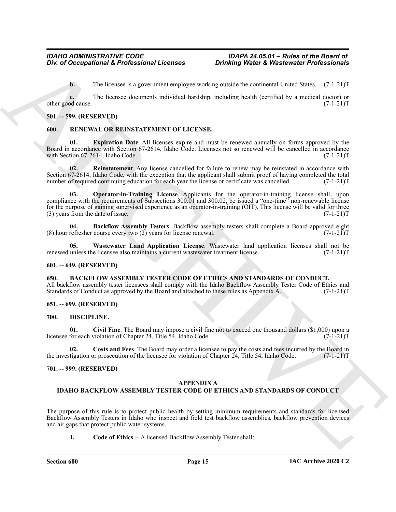**b.** The licensee is a government employee working outside the continental United States. (7-1-21)T

**c.** The licensee documents individual hardship, including health (certified by a medical doctor) or other good cause. (7-1-21)T

#### <span id="page-14-0"></span>**501. -- 599. (RESERVED)**

#### <span id="page-14-12"></span><span id="page-14-1"></span>**600. RENEWAL OR REINSTATEMENT OF LICENSE.**

<span id="page-14-14"></span>**01. Expiration Date**. All licenses expire and must be renewed annually on forms approved by the Board in accordance with Section 67-2614, Idaho Code. Licenses not so renewed will be cancelled in accordance with Section 67-2614, Idaho Code. with Section 67-2614, Idaho Code.

<span id="page-14-16"></span><span id="page-14-15"></span>**02. Reinstatement**. Any license cancelled for failure to renew may be reinstated in accordance with Section 67-2614, Idaho Code, with the exception that the applicant shall submit proof of having completed the total number of required continuing education for each year the license or certificate was cancelled. (7-1-21)T number of required continuing education for each year the license or certificate was cancelled.

One of Occupational K. Professional Licenses<br>
This location (Associated Professional Section 2011)<br>
The location is a generation engine weeking books that including his continued books is a control of  $\sim$  14.117<br>
ARCHIVE **03. Operator-in-Training License**. Applicants for the operator-in-training license shall, upon compliance with the requirements of Subsections 300.01 and 300.02, be issued a "one-time" non-renewable license for the purpose of gaining supervised experience as an operator-in-training (OIT). This license will be valid for three (3) years from the date of issue.  $(7-1-21)$ T  $(3)$  years from the date of issue.

<span id="page-14-13"></span>**04. Backflow Assembly Testers**. Backflow assembly testers shall complete a Board-approved eight (8) hour refresher course every two (2) years for license renewal. (7-1-21)  $\Gamma$ 

<span id="page-14-17"></span>**05. Wastewater Land Application License**. Wastewater land application licenses shall not be unless the licensee also maintains a current wastewater treatment license. (7-1-21) renewed unless the licensee also maintains a current wastewater treatment license.

#### <span id="page-14-2"></span>**601. -- 649. (RESERVED)**

<span id="page-14-8"></span><span id="page-14-3"></span>**650. BACKFLOW ASSEMBLY TESTER CODE OF ETHICS AND STANDARDS OF CONDUCT.** All backflow assembly tester licensees shall comply with the Idaho Backflow Assembly Tester Code of Ethics and Standards of Conduct as approved by the Board and attached to these rules as Appendix A. (7-1-21)T

#### <span id="page-14-4"></span>**651. -- 699. (RESERVED)**

#### <span id="page-14-9"></span><span id="page-14-5"></span>**700. DISCIPLINE.**

<span id="page-14-10"></span>**01. Civil Fine**. The Board may impose a civil fine not to exceed one thousand dollars (\$1,000) upon a licensee for each violation of Chapter 24, Title 54, Idaho Code.

<span id="page-14-11"></span>**02.** Costs and Fees. The Board may order a licensee to pay the costs and fees incurred by the Board in tigation or prosecution of the licensee for violation of Chapter 24, Title 54, Idaho Code. (7-1-21) the investigation or prosecution of the licensee for violation of Chapter  $24$ , Title 54, Idaho Code.

#### <span id="page-14-6"></span>**701. -- 999. (RESERVED)**

#### <span id="page-14-7"></span>**APPENDIX A**

#### **IDAHO BACKFLOW ASSEMBLY TESTER CODE OF ETHICS AND STANDARDS OF CONDUCT**

The purpose of this rule is to protect public health by setting minimum requirements and standards for licensed Backflow Assembly Testers in Idaho who inspect and field test backflow assemblies, backflow prevention devices and air gaps that protect public water systems.

**1. Code of Ethics** -- A licensed Backflow Assembly Tester shall: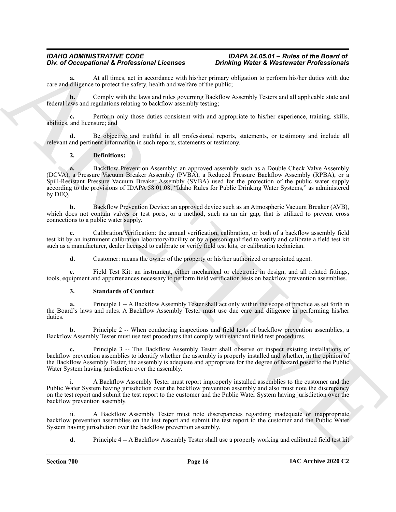## *IDAHO ADMINISTRATIVE CODE IDAPA 24.05.01 – Rules of the Board of*

**a.** At all times, act in accordance with his/her primary obligation to perform his/her duties with due care and diligence to protect the safety, health and welfare of the public;

**b.** Comply with the laws and rules governing Backflow Assembly Testers and all applicable state and federal laws and regulations relating to backflow assembly testing;

**c.** Perform only those duties consistent with and appropriate to his/her experience, training. skills, abilities, and licensure; and

**d.** Be objective and truthful in all professional reports, statements, or testimony and include all relevant and pertinent information in such reports, statements or testimony.

#### **2. Definitions:**

One of Occupational & Professional Learness collimeter promotion for the structure of Professional Executive control and the structure of the structure of the structure of the structure of the structure of the structure o **a.** Backflow Prevention Assembly: an approved assembly such as a Double Check Valve Assembly (DCVA), a Pressure Vacuum Breaker Assembly (PVBA), a Reduced Pressure Backflow Assembly (RPBA), or a Spill-Resistant Pressure Vacuum Breaker Assembly (SVBA) used for the protection of the public water supply according to the provisions of IDAPA 58.01.08, "Idaho Rules for Public Drinking Water Systems," as administered by DEQ.

**b.** Backflow Prevention Device: an approved device such as an Atmospheric Vacuum Breaker (AVB), which does not contain valves or test ports, or a method, such as an air gap, that is utilized to prevent cross connections to a public water supply.

**c.** Calibration/Verification: the annual verification, calibration, or both of a backflow assembly field test kit by an instrument calibration laboratory/facility or by a person qualified to verify and calibrate a field test kit such as a manufacturer, dealer licensed to calibrate or verify field test kits, or calibration technician.

**d.** Customer: means the owner of the property or his/her authorized or appointed agent.

**e.** Field Test Kit: an instrument, either mechanical or electronic in design, and all related fittings, tools, equipment and appurtenances necessary to perform field verification tests on backflow prevention assemblies.

#### **3. Standards of Conduct**

**a.** Principle 1 -- A Backflow Assembly Tester shall act only within the scope of practice as set forth in the Board's laws and rules. A Backflow Assembly Tester must use due care and diligence in performing his/her duties.

**b.** Principle 2 -- When conducting inspections and field tests of backflow prevention assemblies, a Backflow Assembly Tester must use test procedures that comply with standard field test procedures.

**c.** Principle 3 -- The Backflow Assembly Tester shall observe or inspect existing installations of backflow prevention assemblies to identify whether the assembly is properly installed and whether, in the opinion of the Backflow Assembly Tester, the assembly is adequate and appropriate for the degree of hazard posed to the Public Water System having jurisdiction over the assembly.

i. A Backflow Assembly Tester must report improperly installed assemblies to the customer and the Public Water System having jurisdiction over the backflow prevention assembly and also must note the discrepancy on the test report and submit the test report to the customer and the Public Water System having jurisdiction over the backflow prevention assembly.

ii. A Backflow Assembly Tester must note discrepancies regarding inadequate or inappropriate backflow prevention assemblies on the test report and submit the test report to the customer and the Public Water System having jurisdiction over the backflow prevention assembly.

**d.** Principle 4 -- A Backflow Assembly Tester shall use a properly working and calibrated field test kit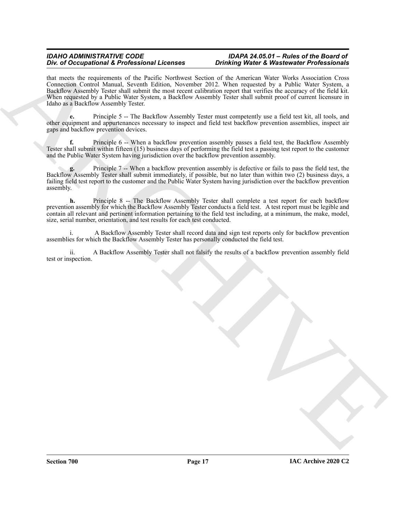## *IDAHO ADMINISTRATIVE CODE IDAPA 24.05.01 – Rules of the Board of*

## **Drinking Water & Wastewater Professionals**

The of Decomposition of References and the space of the space of the space of the space of the space of the space of the space of the space of the space of the space of the space of the space of the space of the space of that meets the requirements of the Pacific Northwest Section of the American Water Works Association Cross Connection Control Manual, Seventh Edition, November 2012. When requested by a Public Water System, a Backflow Assembly Tester shall submit the most recent calibration report that verifies the accuracy of the field kit. When requested by a Public Water System, a Backflow Assembly Tester shall submit proof of current licensure in Idaho as a Backflow Assembly Tester.

**e.** Principle 5 -- The Backflow Assembly Tester must competently use a field test kit, all tools, and other equipment and appurtenances necessary to inspect and field test backflow prevention assemblies, inspect air gaps and backflow prevention devices.

**f.** Principle 6 -- When a backflow prevention assembly passes a field test, the Backflow Assembly Tester shall submit within fifteen (15) business days of performing the field test a passing test report to the customer and the Public Water System having jurisdiction over the backflow prevention assembly.

**g.** Principle 7 -- When a backflow prevention assembly is defective or fails to pass the field test, the Backflow Assembly Tester shall submit immediately, if possible, but no later than within two (2) business days, a failing field test report to the customer and the Public Water System having jurisdiction over the backflow prevention assembly.

**h.** Principle 8 -- The Backflow Assembly Tester shall complete a test report for each backflow prevention assembly for which the Backflow Assembly Tester conducts a field test. A test report must be legible and contain all relevant and pertinent information pertaining to the field test including, at a minimum, the make, model, size, serial number, orientation, and test results for each test conducted.

A Backflow Assembly Tester shall record data and sign test reports only for backflow prevention assemblies for which the Backflow Assembly Tester has personally conducted the field test.

ii. A Backflow Assembly Tester shall not falsify the results of a backflow prevention assembly field test or inspection.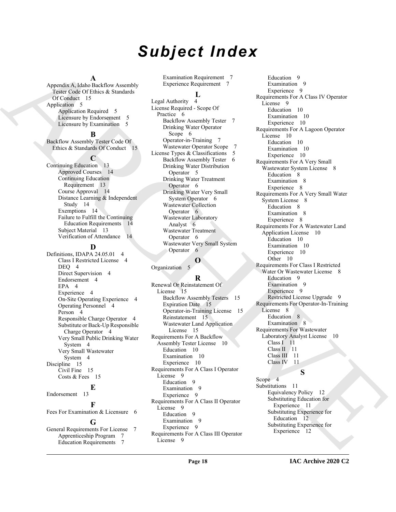## *Subject Index*

#### **A**

Appendix A, Idaho Backflow Assembly Tester Code Of Ethics & Standards Of Conduct 15 Application 5 Application Required 5 Licensure by Endorsement 5 Licensure by Examination 5

#### **B**

Backflow Assembly Tester Code Of Ethics & Standards Of Conduct 15

#### **C**

Continuing Education 13 Approved Courses 14 Continuing Education Requirement 13 Course Approval 14 Distance Learning & Independent Study 14 Exemptions 14 Failure to Fulfill the Continuing Education Requirements 14 Subject Material 13 Verification of Attendance 14

#### **D**

Definitions, IDAPA 24.05.01 4 Class I Restricted License 4 DEQ 4 Direct Supervision 4 Endorsement 4 EPA 4 Experience 4 On-Site Operating Experience 4 Operating Personnel 4 Person 4 Responsible Charge Operator 4 Substitute or Back-Up Responsible Charge Operator 4 Very Small Public Drinking Water System 4 Very Small Wastewater System 4 Discipline 15 Civil Fine 15 Costs & Fees 15 **E** Endorsement 13

**F** Fees For Examination & Licensure 6 **G**

General Requirements For License 7 Apprenticeship Program 7 Education Requirements 7

Examination Requirement 7 Experience Requirement 7

#### **L**

Legal Authority 4 License Required - Scope Of Practice 6 Backflow Assembly Tester 7 Drinking Water Operator Scope 6 Operator-in-Training 7 Wastewater Operator Scope 7 License Types & Classifications 5 Backflow Assembly Tester 6 Drinking Water Distribution Operator 5 Drinking Water Treatment Operator 6 Drinking Water Very Small System Operator 6 Wastewater Collection Operator 6 Wastewater Laboratory Analyst 6 Wastewater Treatment Operator 6 Wastewater Very Small System Operator 6

#### **O**

Organization 5

#### **R**

Renewal Or Reinstatement Of License 15 Backflow Assembly Testers 15 Expiration Date 15 Operator-in-Training License 15 Reinstatement 15 Wastewater Land Application License 15 Requirements For A Backflow Assembly Tester License 10 Education 10 Examination 10 Experience 10 Requirements For A Class I Operator License 9 Education 9 Examination 9 Experience 9 Requirements For A Class II Operator License 9 Education 9 Examination 9 Experience 9 Requirements For A Class III Operator License 9

[A](#page-14-7)ppears Addisordered through the continues of the continues of the continues of the continues of the continues of the continues of the continues of the continues of the continues of the continues of the continues of the c Education 9 Examination 9 Experience 9 Requirements For A Class IV Operator License 9 Education 10 Examination 10 Experience 10 Requirements For A Lagoon Operator License 10 Education 10 Examination 10 Experience 10 Requirements For A Very Small Wastewater System License 8 Education 8 Examination 8 Experience 8 Requirements For A Very Small Water System License 8 Education 8 Examination 8 Experience 8 Requirements For A Wastewater Land Application License 10 Education 10 Examination 10 Experience 10 Other 10 Requirements For Class I Restricted Water Or Wastewater License 8 Education 9 Examination 9 Experience 9 Restricted License Upgrade 9 Requirements For Operator-In-Training License 8 Education 8 Examination 8 Requirements For Wastewater Laboratory Analyst License 10 Class I 11 Class<sub>II</sub> 11 Class III 11<br>Class IV 11 Class IV **S**

Scope 4 Substitutions 11 Equivalency Policy 12 Substituting Education for Experience 11 Substituting Experience for Education 12 Substituting Experience for Experience 12